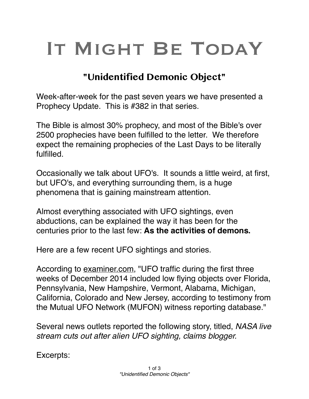## IT MIGHT BE TODAY

## **"Unidentified Demonic Object"**

Week-after-week for the past seven years we have presented a Prophecy Update. This is #382 in that series.

The Bible is almost 30% prophecy, and most of the Bible's over 2500 prophecies have been fulfilled to the letter. We therefore expect the remaining prophecies of the Last Days to be literally fulfilled.

Occasionally we talk about UFO's. It sounds a little weird, at first, but UFO's, and everything surrounding them, is a huge phenomena that is gaining mainstream attention.

Almost everything associated with UFO sightings, even abductions, can be explained the way it has been for the centuries prior to the last few: **As the activities of demons.**

Here are a few recent UFO sightings and stories.

According to [examiner.com,](http://examiner.com) "UFO traffic during the first three weeks of December 2014 included low flying objects over Florida, Pennsylvania, New Hampshire, Vermont, Alabama, Michigan, California, Colorado and New Jersey, according to testimony from the Mutual UFO Network (MUFON) witness reporting database."

Several news outlets reported the following story, titled, *NASA live stream cuts out after alien UFO sighting, claims blogger.*

Excerpts: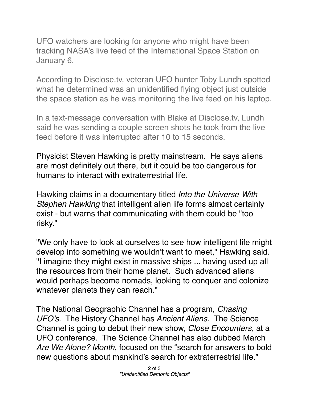UFO watchers are looking for anyone who might have been tracking NASA's live feed of the International Space Station on January 6.

According to Disclose.tv, veteran UFO hunter Toby Lundh spotted what he determined was an unidentified flying object just outside the space station as he was monitoring the live feed on his laptop.

In a text-message conversation with Blake at Disclose.tv, Lundh said he was sending a couple screen shots he took from the live feed before it was interrupted after 10 to 15 seconds.

Physicist Steven Hawking is pretty mainstream. He says aliens are most definitely out there, but it could be too dangerous for humans to interact with extraterrestrial life.

Hawking claims in a documentary titled *Into the Universe With Stephen Hawking* that intelligent alien life forms almost certainly exist - but warns that communicating with them could be "too risky."

"We only have to look at ourselves to see how intelligent life might develop into something we wouldn't want to meet," Hawking said. "I imagine they might exist in massive ships ... having used up all the resources from their home planet. Such advanced aliens would perhaps become nomads, looking to conquer and colonize whatever planets they can reach."

The National Geographic Channel has a program, *Chasing UFO's*. The History Channel has *Ancient Aliens*. The Science Channel is going to debut their new show, *Close Encounters*, at a UFO conference. The Science Channel has also dubbed March *Are We Alone? Month*, focused on the "search for answers to bold new questions about mankind's search for extraterrestrial life."